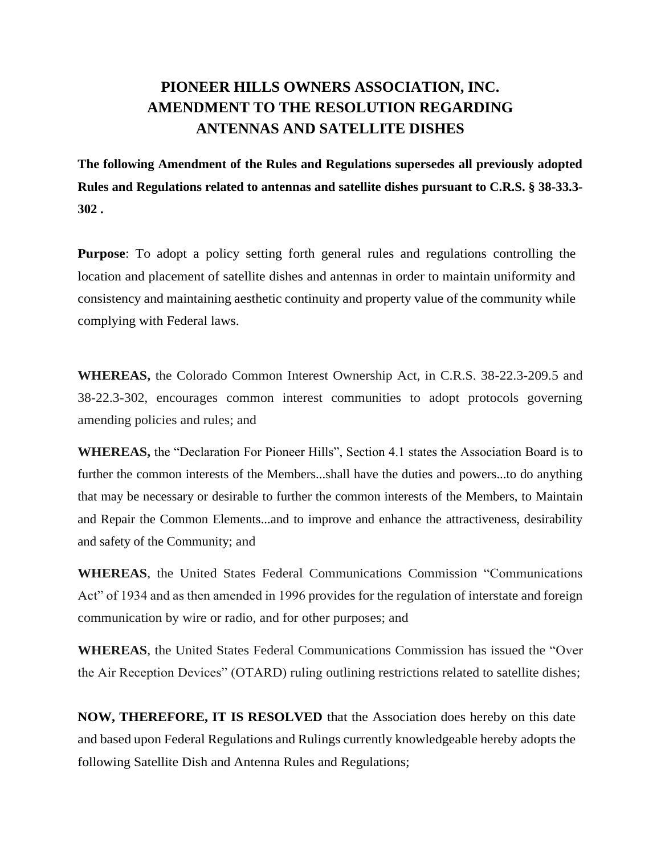# **PIONEER HILLS OWNERS ASSOCIATION, INC. AMENDMENT TO THE RESOLUTION REGARDING ANTENNAS AND SATELLITE DISHES**

**The following Amendment of the Rules and Regulations supersedes all previously adopted Rules and Regulations related to antennas and satellite dishes pursuant to C.R.S. § 38-33.3- 302 .**

**Purpose**: To adopt a policy setting forth general rules and regulations controlling the location and placement of satellite dishes and antennas in order to maintain uniformity and consistency and maintaining aesthetic continuity and property value of the community while complying with Federal laws.

**WHEREAS,** the Colorado Common Interest Ownership Act, in C.R.S. 38-22.3-209.5 and 38-22.3-302, encourages common interest communities to adopt protocols governing amending policies and rules; and

**WHEREAS,** the "Declaration For Pioneer Hills", Section 4.1 states the Association Board is to further the common interests of the Members...shall have the duties and powers...to do anything that may be necessary or desirable to further the common interests of the Members, to Maintain and Repair the Common Elements...and to improve and enhance the attractiveness, desirability and safety of the Community; and

**WHEREAS**, the United States Federal Communications Commission "Communications Act" of 1934 and as then amended in 1996 provides for the regulation of interstate and foreign communication by wire or radio, and for other purposes; and

**WHEREAS**, the United States Federal Communications Commission has issued the "Over the Air Reception Devices" (OTARD) ruling outlining restrictions related to satellite dishes;

**NOW, THEREFORE, IT IS RESOLVED** that the Association does hereby on this date and based upon Federal Regulations and Rulings currently knowledgeable hereby adopts the following Satellite Dish and Antenna Rules and Regulations;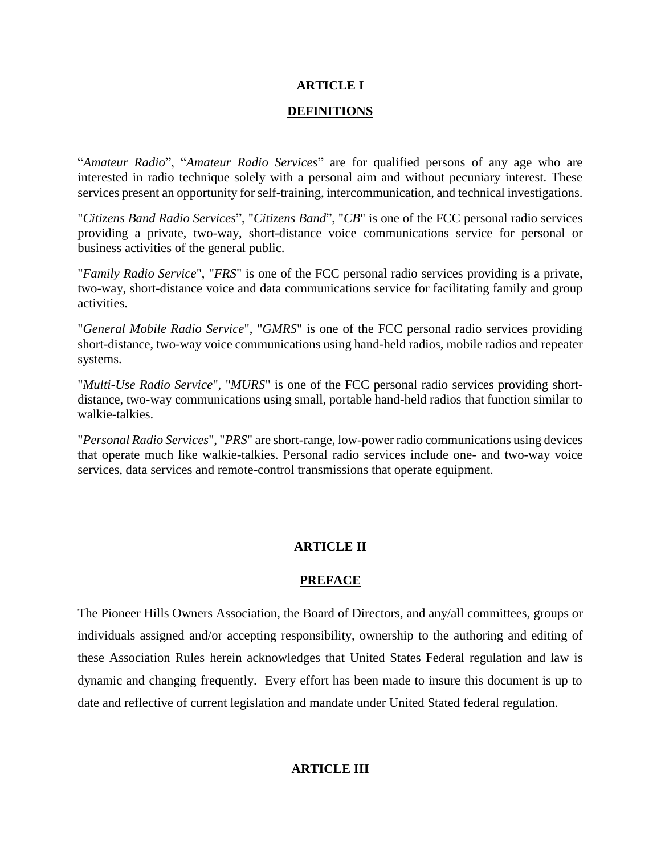## **ARTICLE I**

#### **DEFINITIONS**

"*Amateur Radio*", "*Amateur Radio Services*" are for qualified persons of any age who are interested in radio technique solely with a personal aim and without pecuniary interest. These services present an opportunity for self-training, intercommunication, and technical investigations.

"*Citizens Band Radio Services*", "*Citizens Band*", "*CB*" is one of the FCC personal radio services providing a private, two-way, short-distance voice communications service for personal or business activities of the general public.

"*Family Radio Service*", "*FRS*" is one of the FCC personal radio services providing is a private, two-way, short-distance voice and data communications service for facilitating family and group activities.

"*General Mobile Radio Service*", "*GMRS*" is one of the FCC personal radio services providing short-distance, two-way voice communications using hand-held radios, mobile radios and repeater systems.

"*Multi-Use Radio Service*", "*MURS*" is one of the FCC personal radio services providing shortdistance, two-way communications using small, portable hand-held radios that function similar to walkie-talkies.

"*Personal Radio Services*", "*PRS*" are short-range, low-power radio communications using devices that operate much like walkie-talkies. Personal radio services include one- and two-way voice services, data services and remote-control transmissions that operate equipment.

# **ARTICLE II**

## **PREFACE**

The Pioneer Hills Owners Association, the Board of Directors, and any/all committees, groups or individuals assigned and/or accepting responsibility, ownership to the authoring and editing of these Association Rules herein acknowledges that United States Federal regulation and law is dynamic and changing frequently. Every effort has been made to insure this document is up to date and reflective of current legislation and mandate under United Stated federal regulation.

# **ARTICLE III**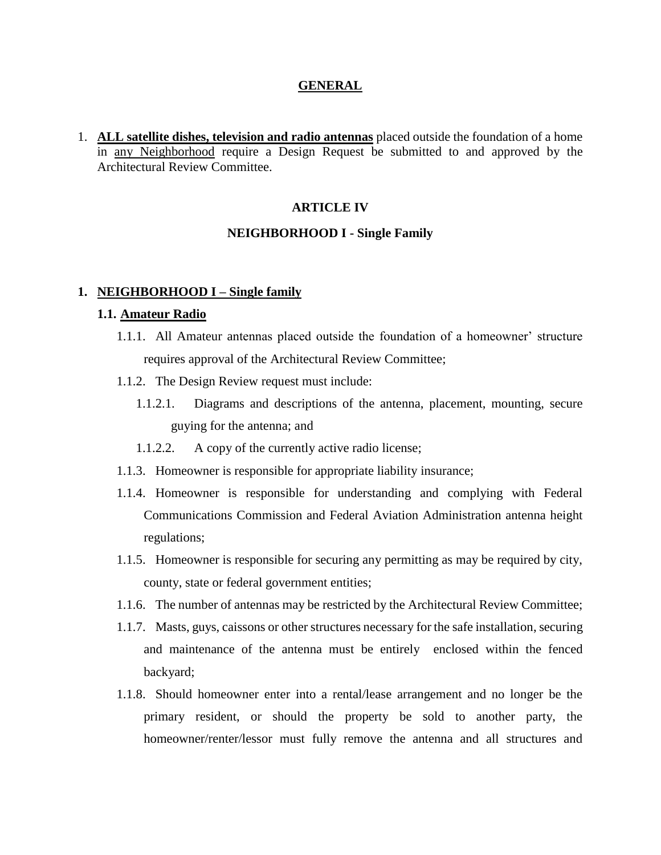#### **GENERAL**

1. **ALL satellite dishes, television and radio antennas** placed outside the foundation of a home in any Neighborhood require a Design Request be submitted to and approved by the Architectural Review Committee.

#### **ARTICLE IV**

#### **NEIGHBORHOOD I - Single Family**

#### **1. NEIGHBORHOOD I – Single family**

#### **1.1. Amateur Radio**

- 1.1.1. All Amateur antennas placed outside the foundation of a homeowner' structure requires approval of the Architectural Review Committee;
- 1.1.2. The Design Review request must include:
	- 1.1.2.1. Diagrams and descriptions of the antenna, placement, mounting, secure guying for the antenna; and
	- 1.1.2.2. A copy of the currently active radio license;
- 1.1.3. Homeowner is responsible for appropriate liability insurance;
- 1.1.4. Homeowner is responsible for understanding and complying with Federal Communications Commission and Federal Aviation Administration antenna height regulations;
- 1.1.5. Homeowner is responsible for securing any permitting as may be required by city, county, state or federal government entities;
- 1.1.6. The number of antennas may be restricted by the Architectural Review Committee;
- 1.1.7. Masts, guys, caissons or other structures necessary for the safe installation, securing and maintenance of the antenna must be entirely enclosed within the fenced backyard;
- 1.1.8. Should homeowner enter into a rental/lease arrangement and no longer be the primary resident, or should the property be sold to another party, the homeowner/renter/lessor must fully remove the antenna and all structures and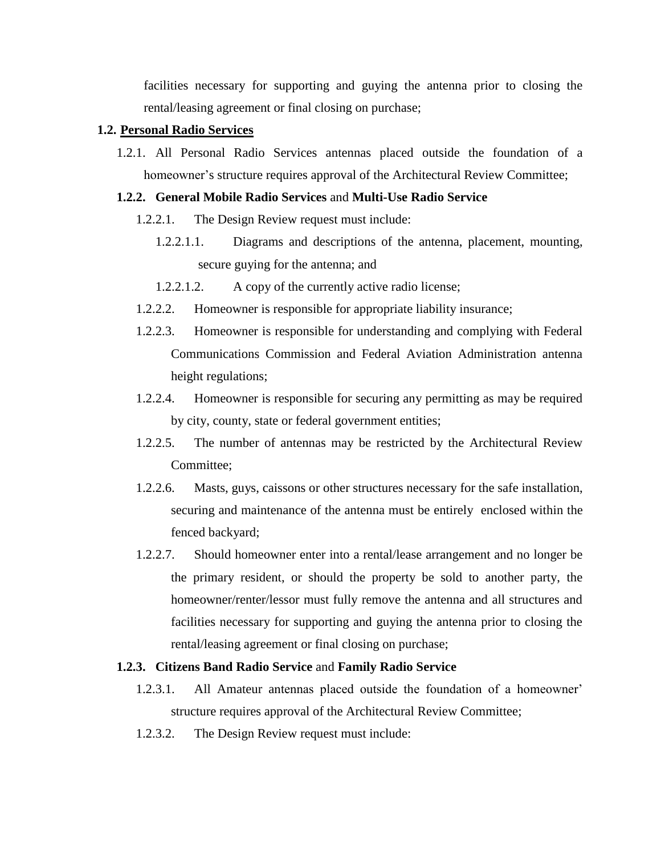facilities necessary for supporting and guying the antenna prior to closing the rental/leasing agreement or final closing on purchase;

#### **1.2. Personal Radio Services**

1.2.1. All Personal Radio Services antennas placed outside the foundation of a homeowner's structure requires approval of the Architectural Review Committee;

#### **1.2.2. General Mobile Radio Services** and **Multi-Use Radio Service**

- 1.2.2.1. The Design Review request must include:
	- 1.2.2.1.1. Diagrams and descriptions of the antenna, placement, mounting, secure guying for the antenna; and
	- 1.2.2.1.2. A copy of the currently active radio license;
- 1.2.2.2. Homeowner is responsible for appropriate liability insurance;
- 1.2.2.3. Homeowner is responsible for understanding and complying with Federal Communications Commission and Federal Aviation Administration antenna height regulations;
- 1.2.2.4. Homeowner is responsible for securing any permitting as may be required by city, county, state or federal government entities;
- 1.2.2.5. The number of antennas may be restricted by the Architectural Review Committee;
- 1.2.2.6. Masts, guys, caissons or other structures necessary for the safe installation, securing and maintenance of the antenna must be entirely enclosed within the fenced backyard;
- 1.2.2.7. Should homeowner enter into a rental/lease arrangement and no longer be the primary resident, or should the property be sold to another party, the homeowner/renter/lessor must fully remove the antenna and all structures and facilities necessary for supporting and guying the antenna prior to closing the rental/leasing agreement or final closing on purchase;

#### **1.2.3. Citizens Band Radio Service** and **Family Radio Service**

- 1.2.3.1. All Amateur antennas placed outside the foundation of a homeowner' structure requires approval of the Architectural Review Committee;
- 1.2.3.2. The Design Review request must include: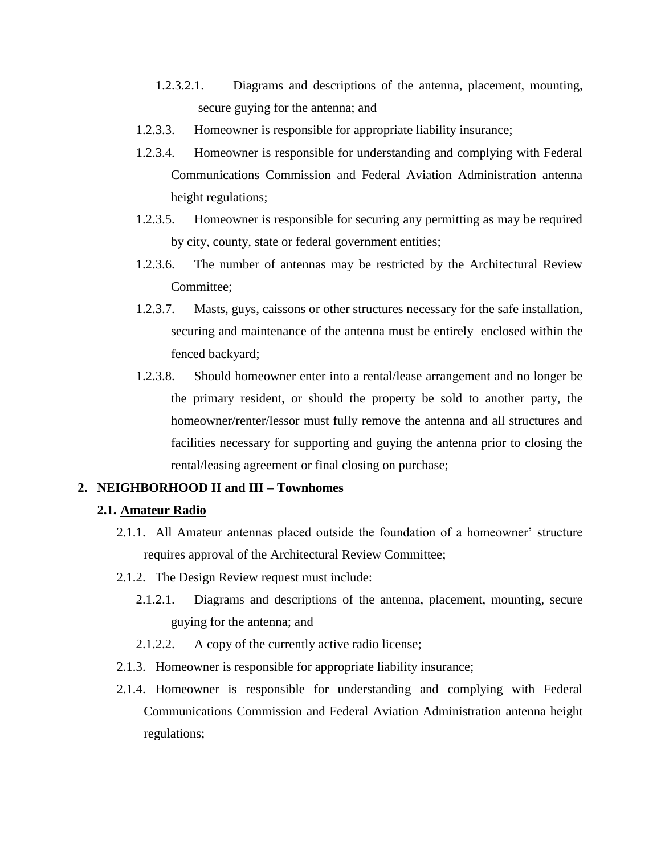- 1.2.3.2.1. Diagrams and descriptions of the antenna, placement, mounting, secure guying for the antenna; and
- 1.2.3.3. Homeowner is responsible for appropriate liability insurance;
- 1.2.3.4. Homeowner is responsible for understanding and complying with Federal Communications Commission and Federal Aviation Administration antenna height regulations;
- 1.2.3.5. Homeowner is responsible for securing any permitting as may be required by city, county, state or federal government entities;
- 1.2.3.6. The number of antennas may be restricted by the Architectural Review Committee;
- 1.2.3.7. Masts, guys, caissons or other structures necessary for the safe installation, securing and maintenance of the antenna must be entirely enclosed within the fenced backyard;
- 1.2.3.8. Should homeowner enter into a rental/lease arrangement and no longer be the primary resident, or should the property be sold to another party, the homeowner/renter/lessor must fully remove the antenna and all structures and facilities necessary for supporting and guying the antenna prior to closing the rental/leasing agreement or final closing on purchase;

## **2. NEIGHBORHOOD II and III – Townhomes**

#### **2.1. Amateur Radio**

- 2.1.1. All Amateur antennas placed outside the foundation of a homeowner' structure requires approval of the Architectural Review Committee;
- 2.1.2. The Design Review request must include:
	- 2.1.2.1. Diagrams and descriptions of the antenna, placement, mounting, secure guying for the antenna; and
	- 2.1.2.2. A copy of the currently active radio license;
- 2.1.3. Homeowner is responsible for appropriate liability insurance;
- 2.1.4. Homeowner is responsible for understanding and complying with Federal Communications Commission and Federal Aviation Administration antenna height regulations;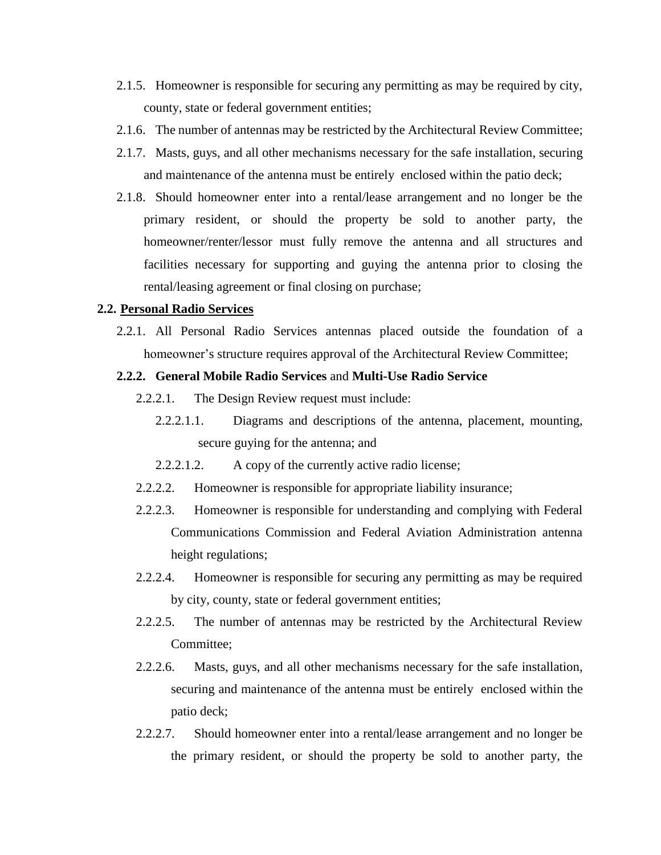- 2.1.5. Homeowner is responsible for securing any permitting as may be required by city, county, state or federal government entities;
- 2.1.6. The number of antennas may be restricted by the Architectural Review Committee;
- 2.1.7. Masts, guys, and all other mechanisms necessary for the safe installation, securing and maintenance of the antenna must be entirely enclosed within the patio deck;
- 2.1.8. Should homeowner enter into a rental/lease arrangement and no longer be the primary resident, or should the property be sold to another party, the homeowner/renter/lessor must fully remove the antenna and all structures and facilities necessary for supporting and guying the antenna prior to closing the rental/leasing agreement or final closing on purchase;

#### **2.2. Personal Radio Services**

2.2.1. All Personal Radio Services antennas placed outside the foundation of a homeowner's structure requires approval of the Architectural Review Committee;

#### **2.2.2. General Mobile Radio Services** and **Multi-Use Radio Service**

- 2.2.2.1. The Design Review request must include:
	- 2.2.2.1.1. Diagrams and descriptions of the antenna, placement, mounting, secure guying for the antenna; and
	- 2.2.2.1.2. A copy of the currently active radio license;
- 2.2.2.2. Homeowner is responsible for appropriate liability insurance;
- 2.2.2.3. Homeowner is responsible for understanding and complying with Federal Communications Commission and Federal Aviation Administration antenna height regulations;
- 2.2.2.4. Homeowner is responsible for securing any permitting as may be required by city, county, state or federal government entities;
- 2.2.2.5. The number of antennas may be restricted by the Architectural Review Committee;
- 2.2.2.6. Masts, guys, and all other mechanisms necessary for the safe installation, securing and maintenance of the antenna must be entirely enclosed within the patio deck;
- 2.2.2.7. Should homeowner enter into a rental/lease arrangement and no longer be the primary resident, or should the property be sold to another party, the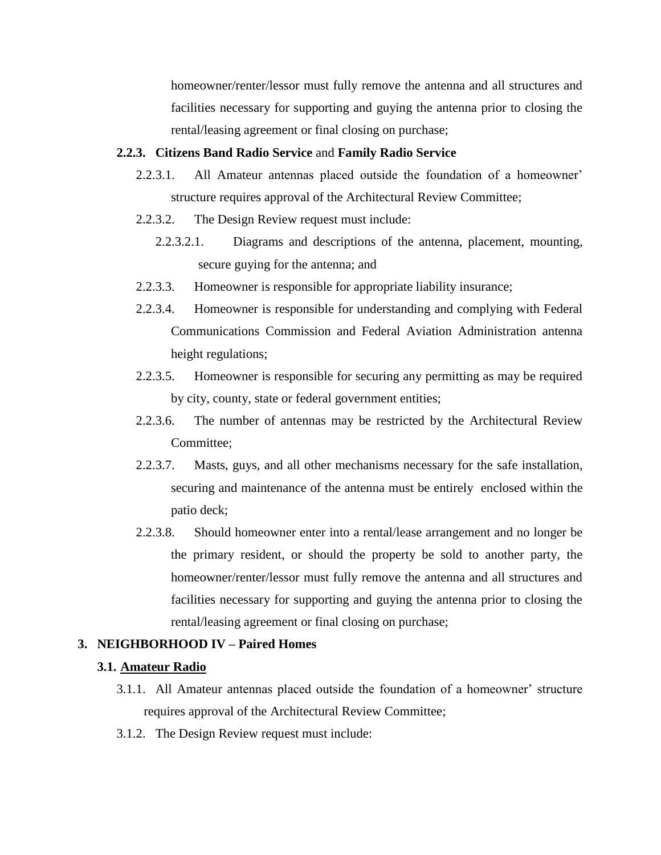homeowner/renter/lessor must fully remove the antenna and all structures and facilities necessary for supporting and guying the antenna prior to closing the rental/leasing agreement or final closing on purchase;

#### **2.2.3. Citizens Band Radio Service** and **Family Radio Service**

- 2.2.3.1. All Amateur antennas placed outside the foundation of a homeowner' structure requires approval of the Architectural Review Committee;
- 2.2.3.2. The Design Review request must include:
	- 2.2.3.2.1. Diagrams and descriptions of the antenna, placement, mounting, secure guying for the antenna; and
- 2.2.3.3. Homeowner is responsible for appropriate liability insurance;
- 2.2.3.4. Homeowner is responsible for understanding and complying with Federal Communications Commission and Federal Aviation Administration antenna height regulations;
- 2.2.3.5. Homeowner is responsible for securing any permitting as may be required by city, county, state or federal government entities;
- 2.2.3.6. The number of antennas may be restricted by the Architectural Review Committee;
- 2.2.3.7. Masts, guys, and all other mechanisms necessary for the safe installation, securing and maintenance of the antenna must be entirely enclosed within the patio deck;
- 2.2.3.8. Should homeowner enter into a rental/lease arrangement and no longer be the primary resident, or should the property be sold to another party, the homeowner/renter/lessor must fully remove the antenna and all structures and facilities necessary for supporting and guying the antenna prior to closing the rental/leasing agreement or final closing on purchase;

## **3. NEIGHBORHOOD IV – Paired Homes**

## **3.1. Amateur Radio**

- 3.1.1. All Amateur antennas placed outside the foundation of a homeowner' structure requires approval of the Architectural Review Committee;
- 3.1.2. The Design Review request must include: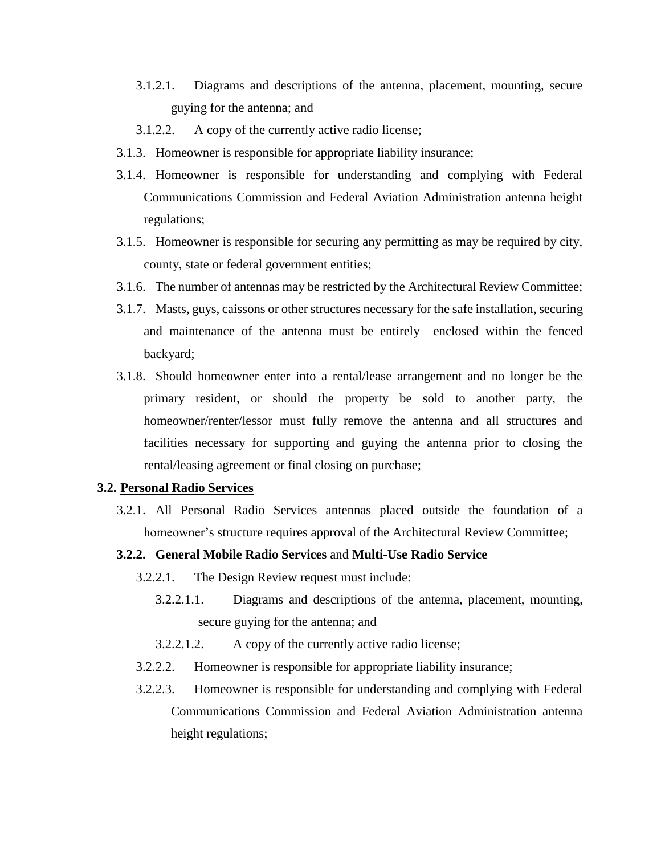- 3.1.2.1. Diagrams and descriptions of the antenna, placement, mounting, secure guying for the antenna; and
- 3.1.2.2. A copy of the currently active radio license;
- 3.1.3. Homeowner is responsible for appropriate liability insurance;
- 3.1.4. Homeowner is responsible for understanding and complying with Federal Communications Commission and Federal Aviation Administration antenna height regulations;
- 3.1.5. Homeowner is responsible for securing any permitting as may be required by city, county, state or federal government entities;
- 3.1.6. The number of antennas may be restricted by the Architectural Review Committee;
- 3.1.7. Masts, guys, caissons or other structures necessary for the safe installation, securing and maintenance of the antenna must be entirely enclosed within the fenced backyard;
- 3.1.8. Should homeowner enter into a rental/lease arrangement and no longer be the primary resident, or should the property be sold to another party, the homeowner/renter/lessor must fully remove the antenna and all structures and facilities necessary for supporting and guying the antenna prior to closing the rental/leasing agreement or final closing on purchase;

#### **3.2. Personal Radio Services**

3.2.1. All Personal Radio Services antennas placed outside the foundation of a homeowner's structure requires approval of the Architectural Review Committee;

## **3.2.2. General Mobile Radio Services** and **Multi-Use Radio Service**

- 3.2.2.1. The Design Review request must include:
	- 3.2.2.1.1. Diagrams and descriptions of the antenna, placement, mounting, secure guying for the antenna; and
	- 3.2.2.1.2. A copy of the currently active radio license;
- 3.2.2.2. Homeowner is responsible for appropriate liability insurance;
- 3.2.2.3. Homeowner is responsible for understanding and complying with Federal Communications Commission and Federal Aviation Administration antenna height regulations;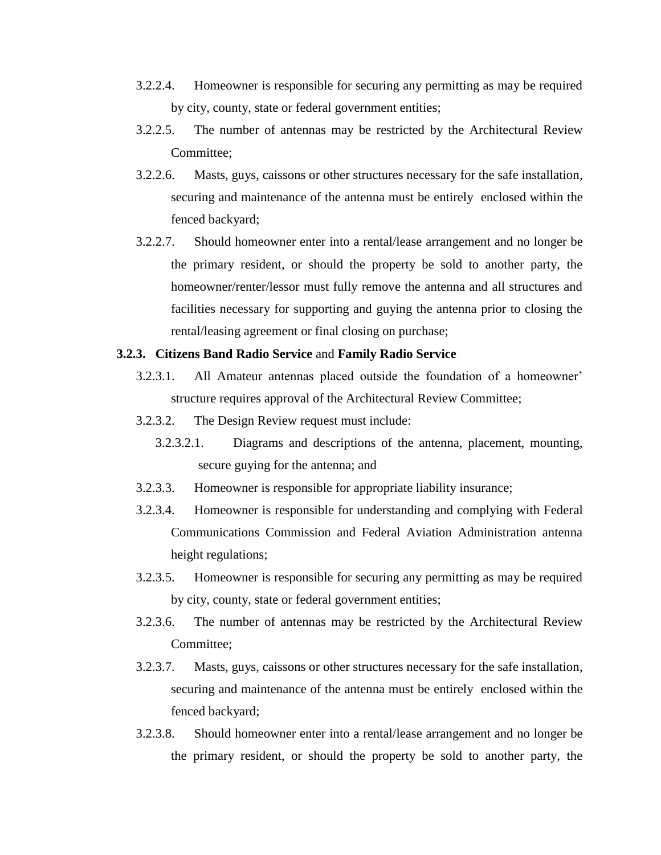- 3.2.2.4. Homeowner is responsible for securing any permitting as may be required by city, county, state or federal government entities;
- 3.2.2.5. The number of antennas may be restricted by the Architectural Review Committee;
- 3.2.2.6. Masts, guys, caissons or other structures necessary for the safe installation, securing and maintenance of the antenna must be entirely enclosed within the fenced backyard;
- 3.2.2.7. Should homeowner enter into a rental/lease arrangement and no longer be the primary resident, or should the property be sold to another party, the homeowner/renter/lessor must fully remove the antenna and all structures and facilities necessary for supporting and guying the antenna prior to closing the rental/leasing agreement or final closing on purchase;

#### **3.2.3. Citizens Band Radio Service** and **Family Radio Service**

- 3.2.3.1. All Amateur antennas placed outside the foundation of a homeowner' structure requires approval of the Architectural Review Committee;
- 3.2.3.2. The Design Review request must include:
	- 3.2.3.2.1. Diagrams and descriptions of the antenna, placement, mounting, secure guying for the antenna; and
- 3.2.3.3. Homeowner is responsible for appropriate liability insurance;
- 3.2.3.4. Homeowner is responsible for understanding and complying with Federal Communications Commission and Federal Aviation Administration antenna height regulations;
- 3.2.3.5. Homeowner is responsible for securing any permitting as may be required by city, county, state or federal government entities;
- 3.2.3.6. The number of antennas may be restricted by the Architectural Review Committee;
- 3.2.3.7. Masts, guys, caissons or other structures necessary for the safe installation, securing and maintenance of the antenna must be entirely enclosed within the fenced backyard;
- 3.2.3.8. Should homeowner enter into a rental/lease arrangement and no longer be the primary resident, or should the property be sold to another party, the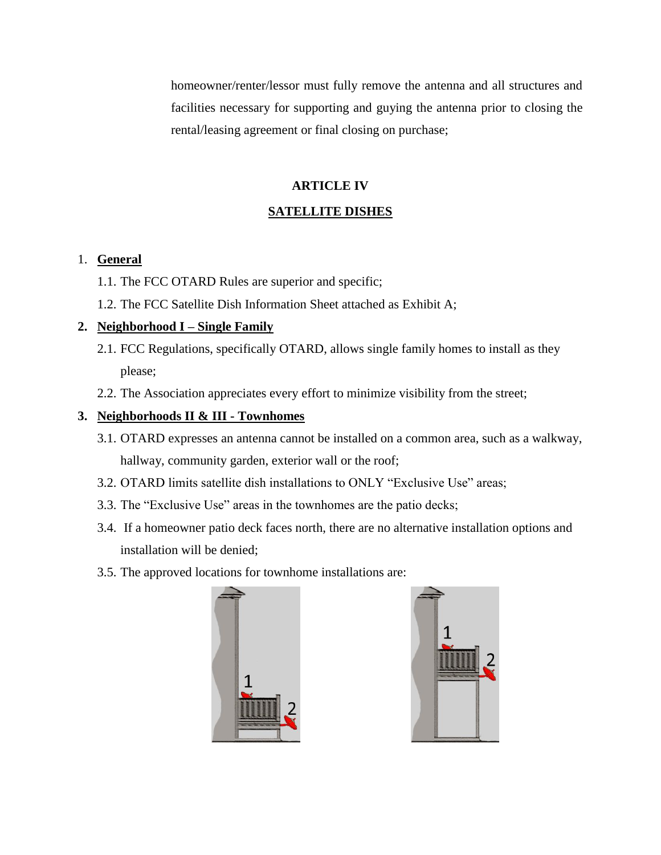homeowner/renter/lessor must fully remove the antenna and all structures and facilities necessary for supporting and guying the antenna prior to closing the rental/leasing agreement or final closing on purchase;

## **ARTICLE IV**

# **SATELLITE DISHES**

## 1. **General**

- 1.1. The FCC OTARD Rules are superior and specific;
- 1.2. The FCC Satellite Dish Information Sheet attached as Exhibit A;

# **2. Neighborhood I – Single Family**

- 2.1. FCC Regulations, specifically OTARD, allows single family homes to install as they please;
- 2.2. The Association appreciates every effort to minimize visibility from the street;

# **3. Neighborhoods II & III - Townhomes**

- 3.1. OTARD expresses an antenna cannot be installed on a common area, such as a walkway, hallway, community garden, exterior wall or the roof;
- 3.2. OTARD limits satellite dish installations to ONLY "Exclusive Use" areas;
- 3.3. The "Exclusive Use" areas in the townhomes are the patio decks;
- 3.4. If a homeowner patio deck faces north, there are no alternative installation options and installation will be denied;
- 3.5. The approved locations for townhome installations are:



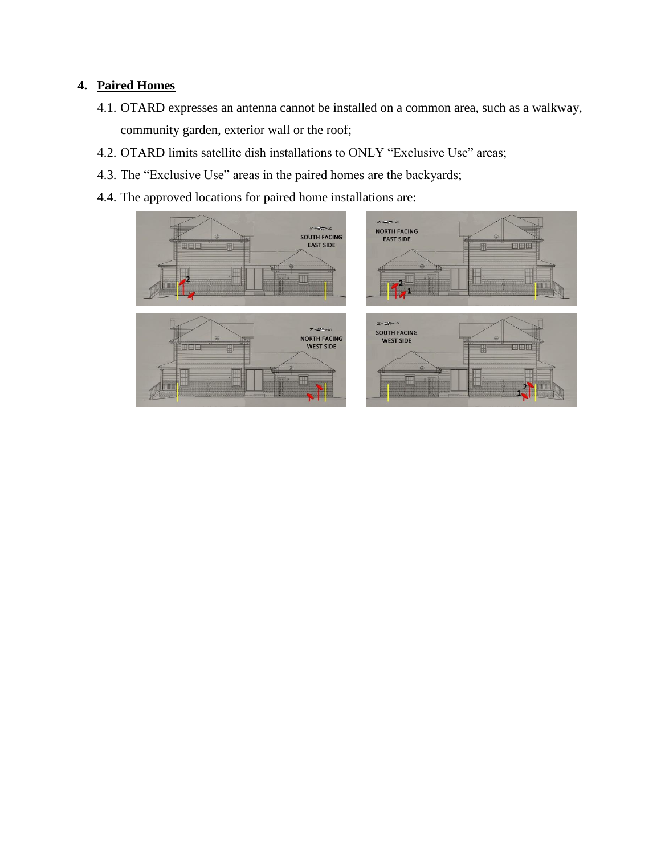# **4. Paired Homes**

- 4.1. OTARD expresses an antenna cannot be installed on a common area, such as a walkway, community garden, exterior wall or the roof;
- 4.2. OTARD limits satellite dish installations to ONLY "Exclusive Use" areas;
- 4.3. The "Exclusive Use" areas in the paired homes are the backyards;
- 4.4. The approved locations for paired home installations are:

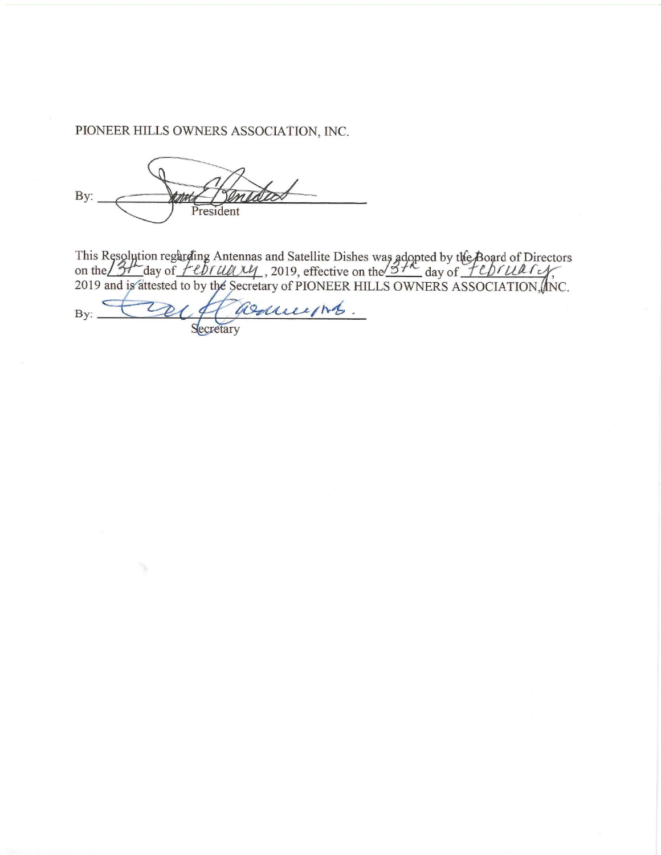PIONEER HILLS OWNERS ASSOCIATION, INC.

By: President

This Resolution regarding Antennas and Satellite Dishes was adopted by the Board of Directors<br>on the  $\frac{37}{24}$  day of  $\frac{76}{24}$  day of  $\frac{76}{24}$  day of  $\frac{76}{24}$  day of  $\frac{76}{24}$  day of  $\frac{76}{24}$  day of  $\frac{76$ 

assuments. By: Secretary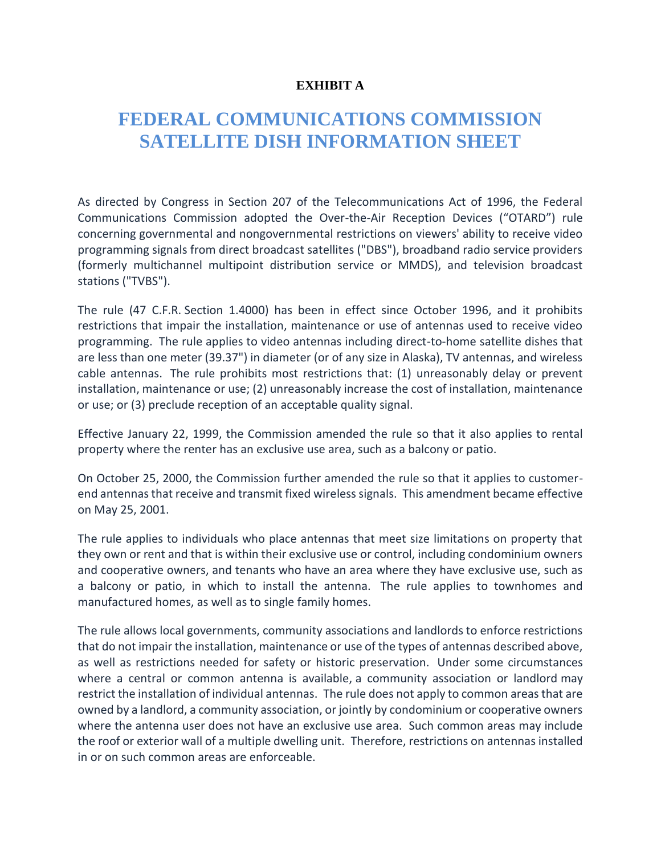# **EXHIBIT A**

# **FEDERAL COMMUNICATIONS COMMISSION SATELLITE DISH INFORMATION SHEET**

As directed by Congress in Section 207 of the Telecommunications Act of 1996, the Federal Communications Commission adopted the Over-the-Air Reception Devices ("OTARD") rule concerning governmental and nongovernmental restrictions on viewers' ability to receive video programming signals from direct broadcast satellites ("DBS"), broadband radio service providers (formerly multichannel multipoint distribution service or MMDS), and television broadcast stations ("TVBS").

The rule (47 C.F.R. Section 1.4000) has been in effect since October 1996, and it prohibits restrictions that impair the installation, maintenance or use of antennas used to receive video programming. The rule applies to video antennas including direct-to-home satellite dishes that are less than one meter (39.37") in diameter (or of any size in Alaska), TV antennas, and wireless cable antennas. The rule prohibits most restrictions that: (1) unreasonably delay or prevent installation, maintenance or use; (2) unreasonably increase the cost of installation, maintenance or use; or (3) preclude reception of an acceptable quality signal.

Effective January 22, 1999, the Commission amended the rule so that it also applies to rental property where the renter has an exclusive use area, such as a balcony or patio.

On October 25, 2000, the Commission further amended the rule so that it applies to customerend antennas that receive and transmit fixed wireless signals. This amendment became effective on May 25, 2001.

The rule applies to individuals who place antennas that meet size limitations on property that they own or rent and that is within their exclusive use or control, including condominium owners and cooperative owners, and tenants who have an area where they have exclusive use, such as a balcony or patio, in which to install the antenna. The rule applies to townhomes and manufactured homes, as well as to single family homes.

The rule allows local governments, community associations and landlords to enforce restrictions that do not impair the installation, maintenance or use of the types of antennas described above, as well as restrictions needed for safety or historic preservation. Under some circumstances where a central or common antenna is available, a community association or landlord may restrict the installation of individual antennas. The rule does not apply to common areas that are owned by a landlord, a community association, or jointly by condominium or cooperative owners where the antenna user does not have an exclusive use area. Such common areas may include the roof or exterior wall of a multiple dwelling unit. Therefore, restrictions on antennas installed in or on such common areas are enforceable.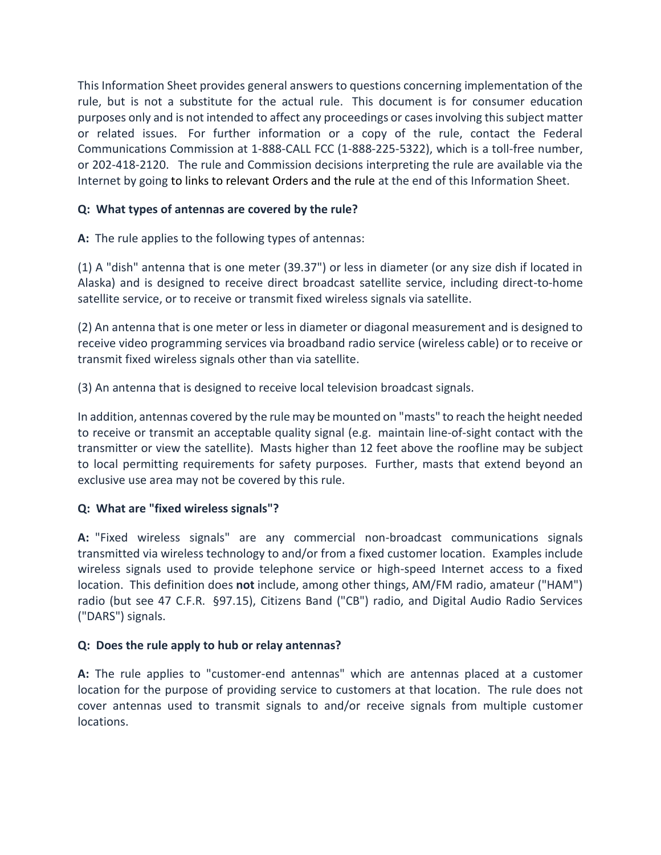This Information Sheet provides general answers to questions concerning implementation of the rule, but is not a substitute for the actual rule. This document is for consumer education purposes only and is not intended to affect any proceedings or cases involving this subject matter or related issues. For further information or a copy of the rule, contact the Federal Communications Commission at 1-888-CALL FCC (1-888-225-5322), which is a toll-free number, or 202-418-2120. The rule and Commission decisions interpreting the rule are available via the Internet by going to [links to relevant Orders and the rule](https://www.fcc.gov/media/over-air-reception-devices-rule#links) at the end of this Information Sheet.

# **Q: What types of antennas are covered by the rule?**

**A:** The rule applies to the following types of antennas:

(1) A "dish" antenna that is one meter (39.37") or less in diameter (or any size dish if located in Alaska) and is designed to receive direct broadcast satellite service, including direct-to-home satellite service, or to receive or transmit fixed wireless signals via satellite.

(2) An antenna that is one meter or less in diameter or diagonal measurement and is designed to receive video programming services via broadband radio service (wireless cable) or to receive or transmit fixed wireless signals other than via satellite.

(3) An antenna that is designed to receive local television broadcast signals.

In addition, antennas covered by the rule may be mounted on "masts" to reach the height needed to receive or transmit an acceptable quality signal (e.g. maintain line-of-sight contact with the transmitter or view the satellite). Masts higher than 12 feet above the roofline may be subject to local permitting requirements for safety purposes. Further, masts that extend beyond an exclusive use area may not be covered by this rule.

# **Q: What are "fixed wireless signals"?**

**A:** "Fixed wireless signals" are any commercial non-broadcast communications signals transmitted via wireless technology to and/or from a fixed customer location. Examples include wireless signals used to provide telephone service or high-speed Internet access to a fixed location. This definition does **not** include, among other things, AM/FM radio, amateur ("HAM") radio (but see 47 C.F.R. §97.15), Citizens Band ("CB") radio, and Digital Audio Radio Services ("DARS") signals.

# **Q: Does the rule apply to hub or relay antennas?**

**A:** The rule applies to "customer-end antennas" which are antennas placed at a customer location for the purpose of providing service to customers at that location. The rule does not cover antennas used to transmit signals to and/or receive signals from multiple customer locations.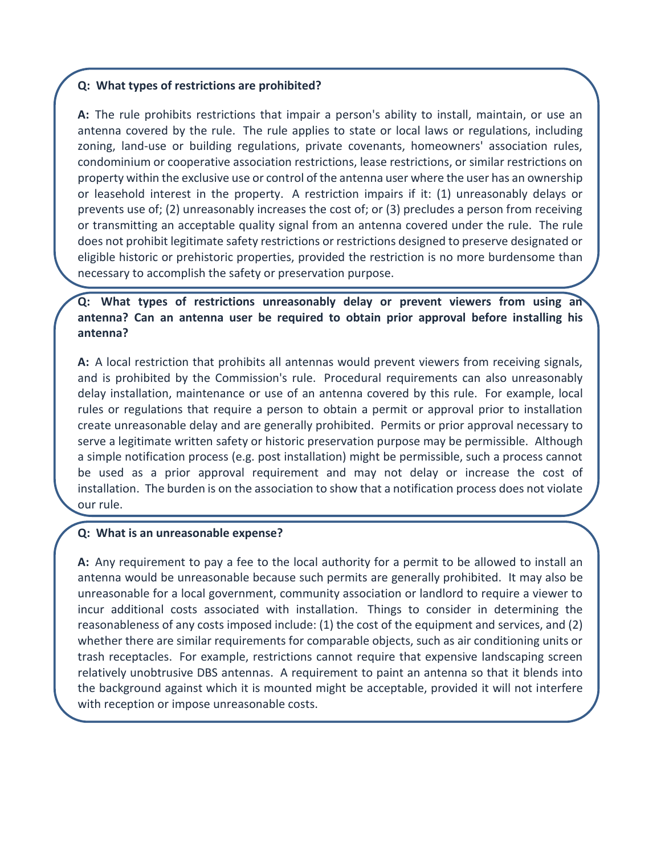#### **Q: What types of restrictions are prohibited?**

**A:** The rule prohibits restrictions that impair a person's ability to install, maintain, or use an antenna covered by the rule. The rule applies to state or local laws or regulations, including zoning, land-use or building regulations, private covenants, homeowners' association rules, condominium or cooperative association restrictions, lease restrictions, or similar restrictions on property within the exclusive use or control of the antenna user where the user has an ownership or leasehold interest in the property. A restriction impairs if it: (1) unreasonably delays or prevents use of; (2) unreasonably increases the cost of; or (3) precludes a person from receiving or transmitting an acceptable quality signal from an antenna covered under the rule. The rule does not prohibit legitimate safety restrictions or restrictions designed to preserve designated or eligible historic or prehistoric properties, provided the restriction is no more burdensome than necessary to accomplish the safety or preservation purpose.

# **Q: What types of restrictions unreasonably delay or prevent viewers from using an antenna? Can an antenna user be required to obtain prior approval before installing his antenna?**

**A:** A local restriction that prohibits all antennas would prevent viewers from receiving signals, and is prohibited by the Commission's rule. Procedural requirements can also unreasonably delay installation, maintenance or use of an antenna covered by this rule. For example, local rules or regulations that require a person to obtain a permit or approval prior to installation create unreasonable delay and are generally prohibited. Permits or prior approval necessary to serve a legitimate written safety or historic preservation purpose may be permissible. Although a simple notification process (e.g. post installation) might be permissible, such a process cannot be used as a prior approval requirement and may not delay or increase the cost of installation. The burden is on the association to show that a notification process does not violate our rule.

## **Q: What is an unreasonable expense?**

**A:** Any requirement to pay a fee to the local authority for a permit to be allowed to install an antenna would be unreasonable because such permits are generally prohibited. It may also be unreasonable for a local government, community association or landlord to require a viewer to incur additional costs associated with installation. Things to consider in determining the reasonableness of any costs imposed include: (1) the cost of the equipment and services, and (2) whether there are similar requirements for comparable objects, such as air conditioning units or trash receptacles. For example, restrictions cannot require that expensive landscaping screen relatively unobtrusive DBS antennas. A requirement to paint an antenna so that it blends into the background against which it is mounted might be acceptable, provided it will not interfere with reception or impose unreasonable costs.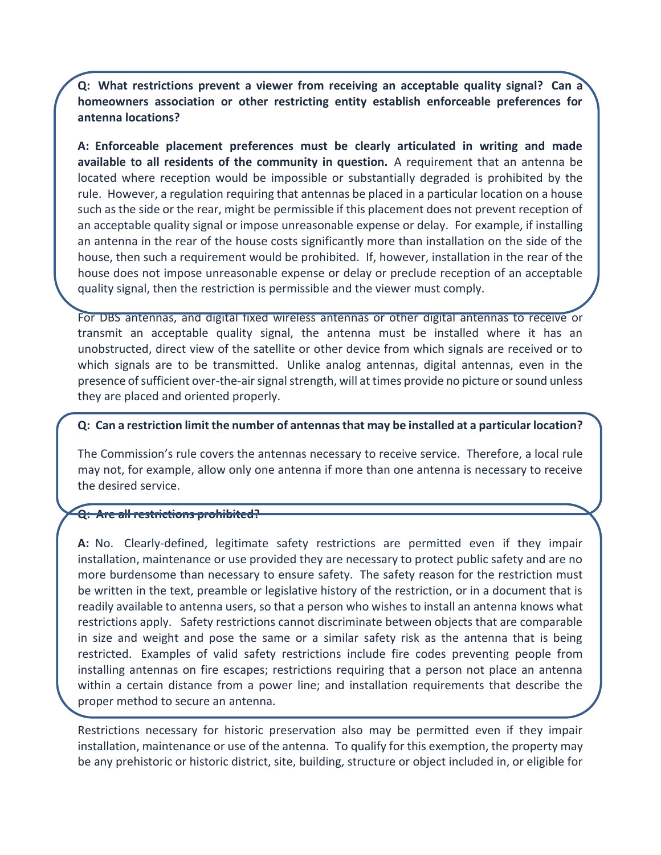**Q: What restrictions prevent a viewer from receiving an acceptable quality signal? Can a homeowners association or other restricting entity establish enforceable preferences for antenna locations?**

**A: Enforceable placement preferences must be clearly articulated in writing and made available to all residents of the community in question.** A requirement that an antenna be located where reception would be impossible or substantially degraded is prohibited by the rule. However, a regulation requiring that antennas be placed in a particular location on a house such as the side or the rear, might be permissible if this placement does not prevent reception of an acceptable quality signal or impose unreasonable expense or delay. For example, if installing an antenna in the rear of the house costs significantly more than installation on the side of the house, then such a requirement would be prohibited. If, however, installation in the rear of the house does not impose unreasonable expense or delay or preclude reception of an acceptable quality signal, then the restriction is permissible and the viewer must comply.

For DBS antennas, and digital fixed wireless antennas or other digital antennas to receive or transmit an acceptable quality signal, the antenna must be installed where it has an unobstructed, direct view of the satellite or other device from which signals are received or to which signals are to be transmitted. Unlike analog antennas, digital antennas, even in the presence of sufficient over-the-air signal strength, will at times provide no picture or sound unless they are placed and oriented properly.

#### **Q: Can a restriction limit the number of antennas that may be installed at a particular location?**

The Commission's rule covers the antennas necessary to receive service. Therefore, a local rule may not, for example, allow only one antenna if more than one antenna is necessary to receive the desired service.

#### **Q: Are all restrictions prohibited?**

**A:** No. Clearly-defined, legitimate safety restrictions are permitted even if they impair installation, maintenance or use provided they are necessary to protect public safety and are no more burdensome than necessary to ensure safety. The safety reason for the restriction must be written in the text, preamble or legislative history of the restriction, or in a document that is readily available to antenna users, so that a person who wishes to install an antenna knows what restrictions apply. Safety restrictions cannot discriminate between objects that are comparable in size and weight and pose the same or a similar safety risk as the antenna that is being restricted. Examples of valid safety restrictions include fire codes preventing people from installing antennas on fire escapes; restrictions requiring that a person not place an antenna within a certain distance from a power line; and installation requirements that describe the proper method to secure an antenna.

Restrictions necessary for historic preservation also may be permitted even if they impair installation, maintenance or use of the antenna. To qualify for this exemption, the property may be any prehistoric or historic district, site, building, structure or object included in, or eligible for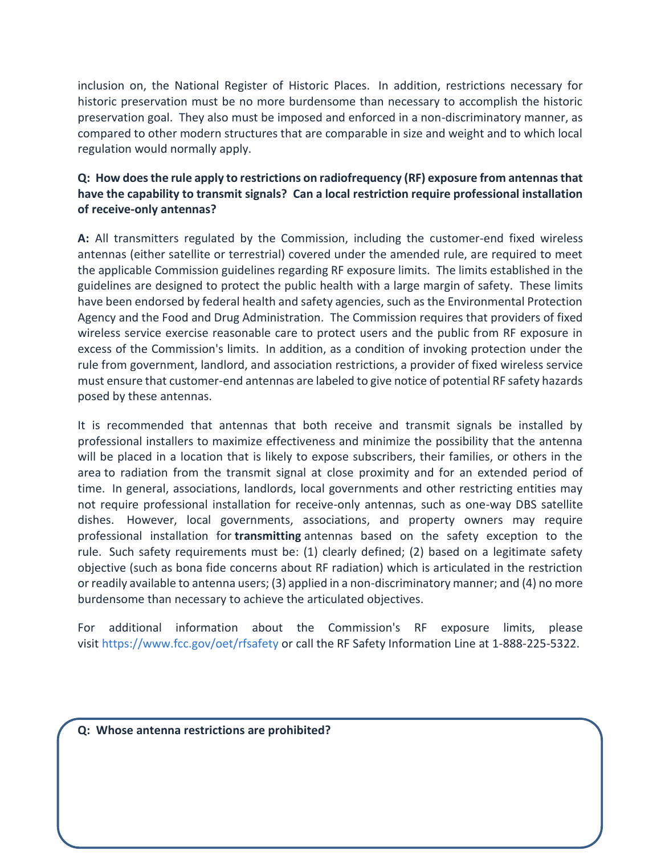inclusion on, the National Register of Historic Places. In addition, restrictions necessary for historic preservation must be no more burdensome than necessary to accomplish the historic preservation goal. They also must be imposed and enforced in a non-discriminatory manner, as compared to other modern structures that are comparable in size and weight and to which local regulation would normally apply.

# **Q: How does the rule apply to restrictions on radiofrequency (RF) exposure from antennas that have the capability to transmit signals? Can a local restriction require professional installation of receive-only antennas?**

**A:** All transmitters regulated by the Commission, including the customer-end fixed wireless antennas (either satellite or terrestrial) covered under the amended rule, are required to meet the applicable Commission guidelines regarding RF exposure limits. The limits established in the guidelines are designed to protect the public health with a large margin of safety. These limits have been endorsed by federal health and safety agencies, such as the Environmental Protection Agency and the Food and Drug Administration. The Commission requires that providers of fixed wireless service exercise reasonable care to protect users and the public from RF exposure in excess of the Commission's limits. In addition, as a condition of invoking protection under the rule from government, landlord, and association restrictions, a provider of fixed wireless service must ensure that customer-end antennas are labeled to give notice of potential RF safety hazards posed by these antennas.

It is recommended that antennas that both receive and transmit signals be installed by professional installers to maximize effectiveness and minimize the possibility that the antenna will be placed in a location that is likely to expose subscribers, their families, or others in the area to radiation from the transmit signal at close proximity and for an extended period of time. In general, associations, landlords, local governments and other restricting entities may not require professional installation for receive-only antennas, such as one-way DBS satellite dishes. However, local governments, associations, and property owners may require professional installation for **transmitting** antennas based on the safety exception to the rule. Such safety requirements must be: (1) clearly defined; (2) based on a legitimate safety objective (such as bona fide concerns about RF radiation) which is articulated in the restriction or readily available to antenna users; (3) applied in a non-discriminatory manner; and (4) no more burdensome than necessary to achieve the articulated objectives.

For additional information about the Commission's RF exposure limits, please visit [https://www.fcc.gov/oet/rfsafety](https://www.fcc.gov/general/radio-frequency-safety-0) or call the RF Safety Information Line at 1-888-225-5322.

**Q: Whose antenna restrictions are prohibited?**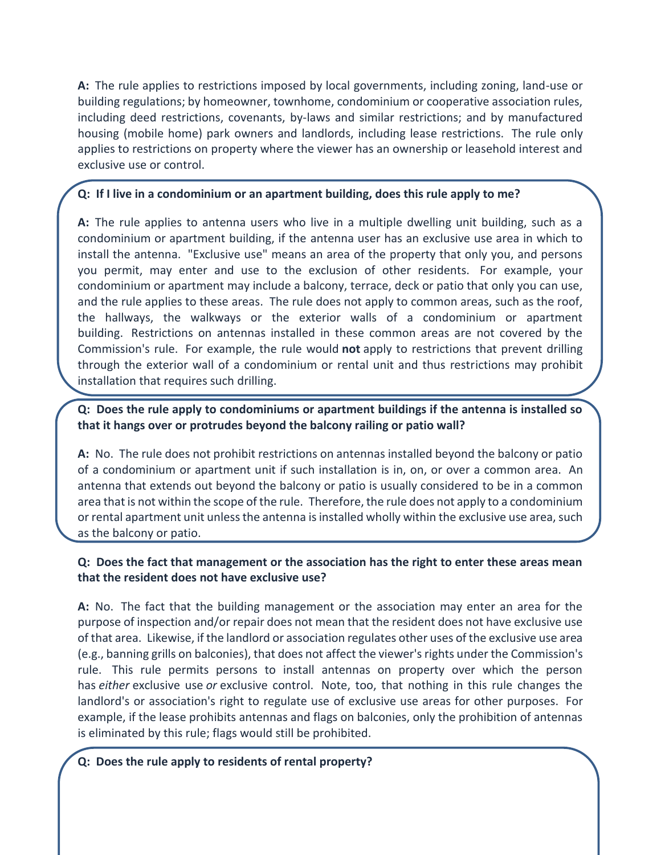**A:** The rule applies to restrictions imposed by local governments, including zoning, land-use or building regulations; by homeowner, townhome, condominium or cooperative association rules, including deed restrictions, covenants, by-laws and similar restrictions; and by manufactured housing (mobile home) park owners and landlords, including lease restrictions. The rule only applies to restrictions on property where the viewer has an ownership or leasehold interest and exclusive use or control.

## **Q: If I live in a condominium or an apartment building, does this rule apply to me?**

**A:** The rule applies to antenna users who live in a multiple dwelling unit building, such as a condominium or apartment building, if the antenna user has an exclusive use area in which to install the antenna. "Exclusive use" means an area of the property that only you, and persons you permit, may enter and use to the exclusion of other residents. For example, your condominium or apartment may include a balcony, terrace, deck or patio that only you can use, and the rule applies to these areas. The rule does not apply to common areas, such as the roof, the hallways, the walkways or the exterior walls of a condominium or apartment building. Restrictions on antennas installed in these common areas are not covered by the Commission's rule. For example, the rule would **not** apply to restrictions that prevent drilling through the exterior wall of a condominium or rental unit and thus restrictions may prohibit installation that requires such drilling.

# **Q: Does the rule apply to condominiums or apartment buildings if the antenna is installed so that it hangs over or protrudes beyond the balcony railing or patio wall?**

**A:** No. The rule does not prohibit restrictions on antennas installed beyond the balcony or patio of a condominium or apartment unit if such installation is in, on, or over a common area. An antenna that extends out beyond the balcony or patio is usually considered to be in a common area that is not within the scope of the rule. Therefore, the rule does not apply to a condominium or rental apartment unit unless the antenna is installed wholly within the exclusive use area, such as the balcony or patio.

# **Q: Does the fact that management or the association has the right to enter these areas mean that the resident does not have exclusive use?**

**A:** No. The fact that the building management or the association may enter an area for the purpose of inspection and/or repair does not mean that the resident does not have exclusive use of that area. Likewise, if the landlord or association regulates other uses of the exclusive use area (e.g., banning grills on balconies), that does not affect the viewer's rights under the Commission's rule. This rule permits persons to install antennas on property over which the person has *either* exclusive use *or* exclusive control. Note, too, that nothing in this rule changes the landlord's or association's right to regulate use of exclusive use areas for other purposes. For example, if the lease prohibits antennas and flags on balconies, only the prohibition of antennas is eliminated by this rule; flags would still be prohibited.

## **Q: Does the rule apply to residents of rental property?**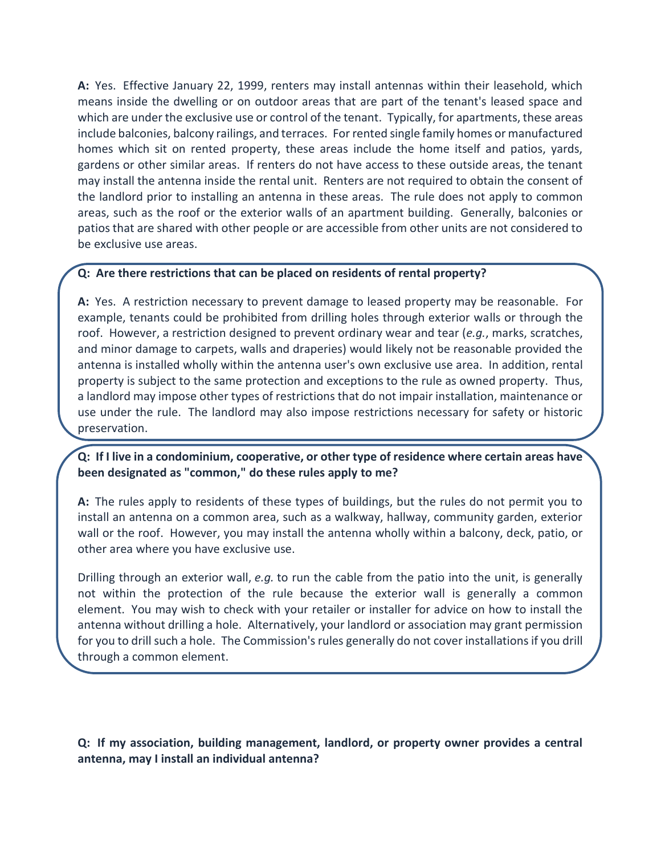**A:** Yes. Effective January 22, 1999, renters may install antennas within their leasehold, which means inside the dwelling or on outdoor areas that are part of the tenant's leased space and which are under the exclusive use or control of the tenant. Typically, for apartments, these areas include balconies, balcony railings, and terraces. For rented single family homes or manufactured homes which sit on rented property, these areas include the home itself and patios, yards, gardens or other similar areas. If renters do not have access to these outside areas, the tenant may install the antenna inside the rental unit. Renters are not required to obtain the consent of the landlord prior to installing an antenna in these areas. The rule does not apply to common areas, such as the roof or the exterior walls of an apartment building. Generally, balconies or patios that are shared with other people or are accessible from other units are not considered to be exclusive use areas.

#### **Q: Are there restrictions that can be placed on residents of rental property?**

**A:** Yes. A restriction necessary to prevent damage to leased property may be reasonable. For example, tenants could be prohibited from drilling holes through exterior walls or through the roof. However, a restriction designed to prevent ordinary wear and tear (*e.g.*, marks, scratches, and minor damage to carpets, walls and draperies) would likely not be reasonable provided the antenna is installed wholly within the antenna user's own exclusive use area. In addition, rental property is subject to the same protection and exceptions to the rule as owned property. Thus, a landlord may impose other types of restrictions that do not impair installation, maintenance or use under the rule. The landlord may also impose restrictions necessary for safety or historic preservation.

## **Q: If I live in a condominium, cooperative, or other type of residence where certain areas have been designated as "common," do these rules apply to me?**

**A:** The rules apply to residents of these types of buildings, but the rules do not permit you to install an antenna on a common area, such as a walkway, hallway, community garden, exterior wall or the roof. However, you may install the antenna wholly within a balcony, deck, patio, or other area where you have exclusive use.

Drilling through an exterior wall, *e.g.* to run the cable from the patio into the unit, is generally not within the protection of the rule because the exterior wall is generally a common element. You may wish to check with your retailer or installer for advice on how to install the antenna without drilling a hole. Alternatively, your landlord or association may grant permission for you to drill such a hole. The Commission's rules generally do not cover installations if you drill through a common element.

**Q: If my association, building management, landlord, or property owner provides a central antenna, may I install an individual antenna?**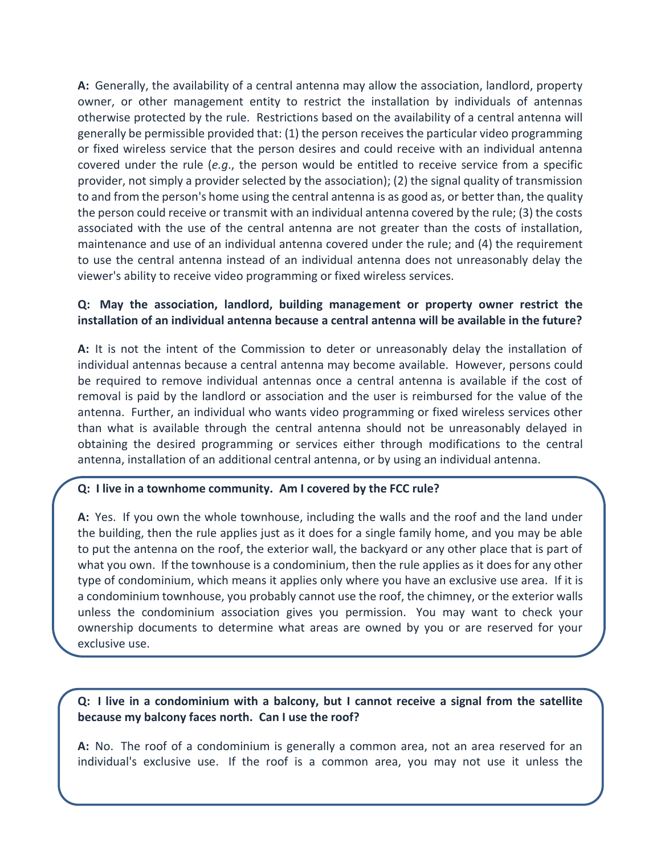**A:** Generally, the availability of a central antenna may allow the association, landlord, property owner, or other management entity to restrict the installation by individuals of antennas otherwise protected by the rule. Restrictions based on the availability of a central antenna will generally be permissible provided that: (1) the person receives the particular video programming or fixed wireless service that the person desires and could receive with an individual antenna covered under the rule (*e.g*., the person would be entitled to receive service from a specific provider, not simply a provider selected by the association); (2) the signal quality of transmission to and from the person's home using the central antenna is as good as, or better than, the quality the person could receive or transmit with an individual antenna covered by the rule; (3) the costs associated with the use of the central antenna are not greater than the costs of installation, maintenance and use of an individual antenna covered under the rule; and (4) the requirement to use the central antenna instead of an individual antenna does not unreasonably delay the viewer's ability to receive video programming or fixed wireless services.

## **Q: May the association, landlord, building management or property owner restrict the installation of an individual antenna because a central antenna will be available in the future?**

**A:** It is not the intent of the Commission to deter or unreasonably delay the installation of individual antennas because a central antenna may become available. However, persons could be required to remove individual antennas once a central antenna is available if the cost of removal is paid by the landlord or association and the user is reimbursed for the value of the antenna. Further, an individual who wants video programming or fixed wireless services other than what is available through the central antenna should not be unreasonably delayed in obtaining the desired programming or services either through modifications to the central antenna, installation of an additional central antenna, or by using an individual antenna.

## **Q: I live in a townhome community. Am I covered by the FCC rule?**

**A:** Yes. If you own the whole townhouse, including the walls and the roof and the land under the building, then the rule applies just as it does for a single family home, and you may be able to put the antenna on the roof, the exterior wall, the backyard or any other place that is part of what you own. If the townhouse is a condominium, then the rule applies as it does for any other type of condominium, which means it applies only where you have an exclusive use area. If it is a condominium townhouse, you probably cannot use the roof, the chimney, or the exterior walls unless the condominium association gives you permission. You may want to check your ownership documents to determine what areas are owned by you or are reserved for your exclusive use.

## **Q: I live in a condominium with a balcony, but I cannot receive a signal from the satellite because my balcony faces north. Can I use the roof?**

**A:** No. The roof of a condominium is generally a common area, not an area reserved for an individual's exclusive use. If the roof is a common area, you may not use it unless the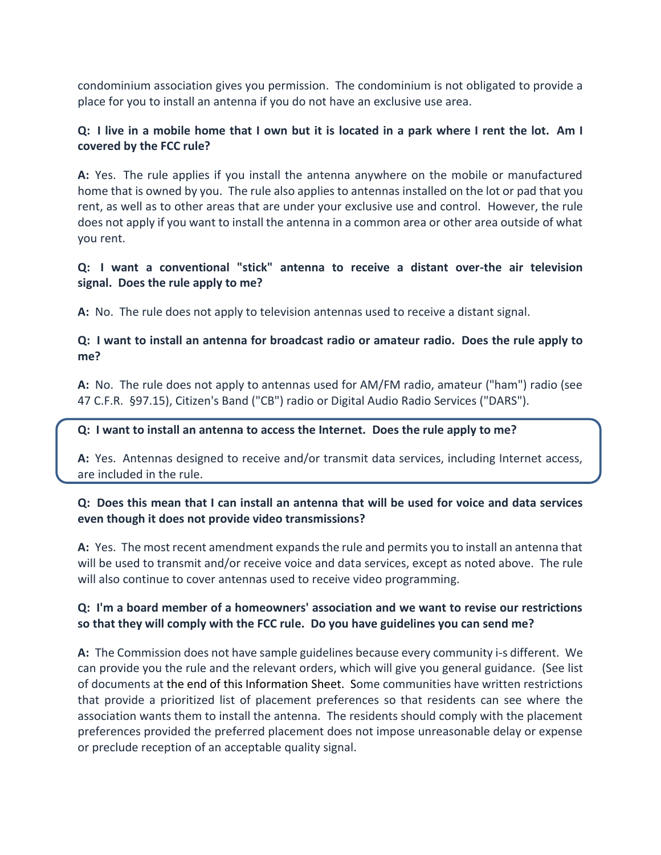condominium association gives you permission. The condominium is not obligated to provide a place for you to install an antenna if you do not have an exclusive use area.

# **Q: I live in a mobile home that I own but it is located in a park where I rent the lot. Am I covered by the FCC rule?**

**A:** Yes. The rule applies if you install the antenna anywhere on the mobile or manufactured home that is owned by you. The rule also applies to antennas installed on the lot or pad that you rent, as well as to other areas that are under your exclusive use and control. However, the rule does not apply if you want to install the antenna in a common area or other area outside of what you rent.

# **Q: I want a conventional "stick" antenna to receive a distant over-the air television signal. Does the rule apply to me?**

**A:** No. The rule does not apply to television antennas used to receive a distant signal.

# **Q: I want to install an antenna for broadcast radio or amateur radio. Does the rule apply to me?**

**A:** No. The rule does not apply to antennas used for AM/FM radio, amateur ("ham") radio (see 47 C.F.R. §97.15), Citizen's Band ("CB") radio or Digital Audio Radio Services ("DARS").

## **Q: I want to install an antenna to access the Internet. Does the rule apply to me?**

**A:** Yes. Antennas designed to receive and/or transmit data services, including Internet access, are included in the rule.

# **Q: Does this mean that I can install an antenna that will be used for voice and data services even though it does not provide video transmissions?**

**A:** Yes. The most recent amendment expands the rule and permits you to install an antenna that will be used to transmit and/or receive voice and data services, except as noted above. The rule will also continue to cover antennas used to receive video programming.

# **Q: I'm a board member of a homeowners' association and we want to revise our restrictions so that they will comply with the FCC rule. Do you have guidelines you can send me?**

**A:** The Commission does not have sample guidelines because every community i-s different. We can provide you the rule and the relevant orders, which will give you general guidance. (See list of documents at the [end of this Information](https://www.fcc.gov/media/over-air-reception-devices-rule#links) Sheet. Some communities have written restrictions that provide a prioritized list of placement preferences so that residents can see where the association wants them to install the antenna. The residents should comply with the placement preferences provided the preferred placement does not impose unreasonable delay or expense or preclude reception of an acceptable quality signal.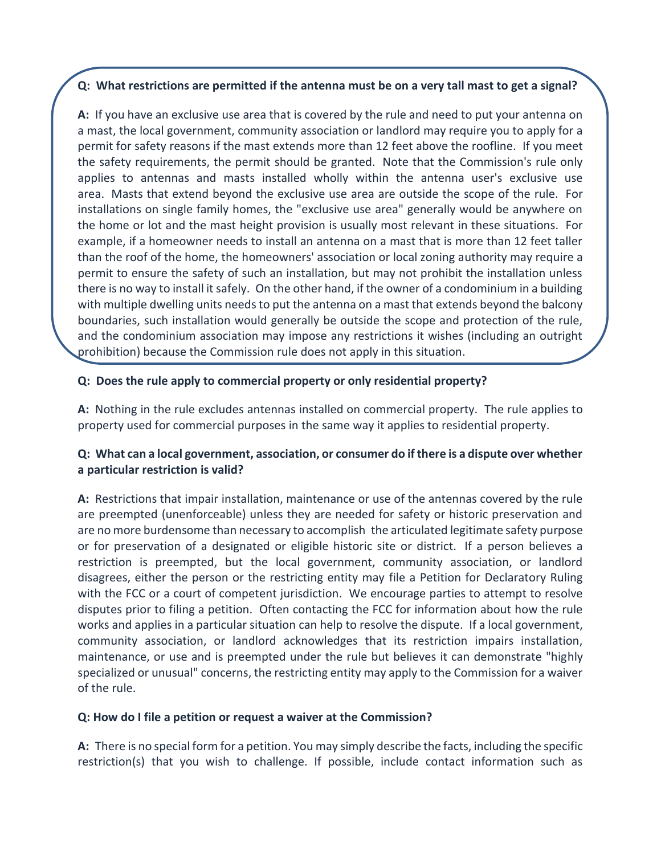## **Q: What restrictions are permitted if the antenna must be on a very tall mast to get a signal?**

**A:** If you have an exclusive use area that is covered by the rule and need to put your antenna on a mast, the local government, community association or landlord may require you to apply for a permit for safety reasons if the mast extends more than 12 feet above the roofline. If you meet the safety requirements, the permit should be granted. Note that the Commission's rule only applies to antennas and masts installed wholly within the antenna user's exclusive use area. Masts that extend beyond the exclusive use area are outside the scope of the rule. For installations on single family homes, the "exclusive use area" generally would be anywhere on the home or lot and the mast height provision is usually most relevant in these situations. For example, if a homeowner needs to install an antenna on a mast that is more than 12 feet taller than the roof of the home, the homeowners' association or local zoning authority may require a permit to ensure the safety of such an installation, but may not prohibit the installation unless there is no way to install it safely. On the other hand, if the owner of a condominium in a building with multiple dwelling units needs to put the antenna on a mast that extends beyond the balcony boundaries, such installation would generally be outside the scope and protection of the rule, and the condominium association may impose any restrictions it wishes (including an outright prohibition) because the Commission rule does not apply in this situation.

# **Q: Does the rule apply to commercial property or only residential property?**

**A:** Nothing in the rule excludes antennas installed on commercial property. The rule applies to property used for commercial purposes in the same way it applies to residential property.

# **Q: What can a local government, association, or consumer do if there is a dispute over whether a particular restriction is valid?**

**A:** Restrictions that impair installation, maintenance or use of the antennas covered by the rule are preempted (unenforceable) unless they are needed for safety or historic preservation and are no more burdensome than necessary to accomplish the articulated legitimate safety purpose or for preservation of a designated or eligible historic site or district. If a person believes a restriction is preempted, but the local government, community association, or landlord disagrees, either the person or the restricting entity may file a Petition for Declaratory Ruling with the FCC or a court of competent jurisdiction. We encourage parties to attempt to resolve disputes prior to filing a petition. Often contacting the FCC for information about how the rule works and applies in a particular situation can help to resolve the dispute. If a local government, community association, or landlord acknowledges that its restriction impairs installation, maintenance, or use and is preempted under the rule but believes it can demonstrate "highly specialized or unusual" concerns, the restricting entity may apply to the Commission for a waiver of the rule.

## **Q: How do I file a petition or request a waiver at the Commission?**

**A:** There is no special form for a petition. You may simply describe the facts, including the specific restriction(s) that you wish to challenge. If possible, include contact information such as